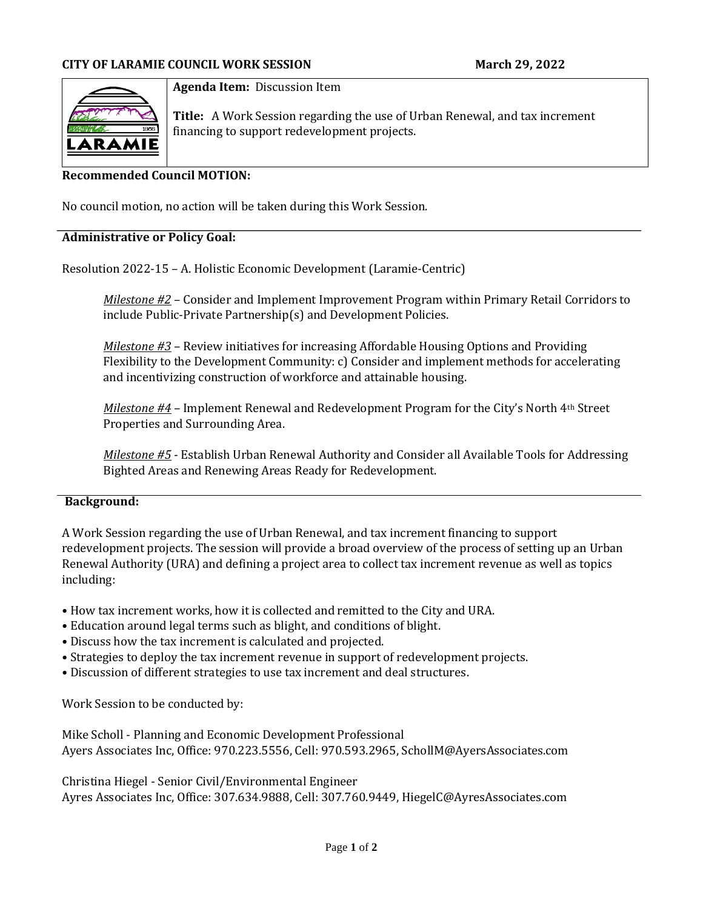

### **Agenda Item:** Discussion Item

**Title:** A Work Session regarding the use of Urban Renewal, and tax increment financing to support redevelopment projects.

### **Recommended Council MOTION:**

No council motion, no action will be taken during this Work Session.

#### **Administrative or Policy Goal:**

Resolution 2022-15 – A. Holistic Economic Development (Laramie-Centric)

*Milestone #2* – Consider and Implement Improvement Program within Primary Retail Corridors to include Public-Private Partnership(s) and Development Policies.

*Milestone #3* – Review initiatives for increasing Affordable Housing Options and Providing Flexibility to the Development Community: c) Consider and implement methods for accelerating and incentivizing construction of workforce and attainable housing.

*Milestone #4* – Implement Renewal and Redevelopment Program for the City's North 4th Street Properties and Surrounding Area.

*Milestone #5* - Establish Urban Renewal Authority and Consider all Available Tools for Addressing Bighted Areas and Renewing Areas Ready for Redevelopment.

#### **Background:**

A Work Session regarding the use of Urban Renewal, and tax increment financing to support redevelopment projects. The session will provide a broad overview of the process of setting up an Urban Renewal Authority (URA) and defining a project area to collect tax increment revenue as well as topics including:

- How tax increment works, how it is collected and remitted to the City and URA.
- Education around legal terms such as blight, and conditions of blight.
- Discuss how the tax increment is calculated and projected.
- Strategies to deploy the tax increment revenue in support of redevelopment projects.
- Discussion of different strategies to use tax increment and deal structures.

Work Session to be conducted by:

Mike Scholl - Planning and Economic Development Professional Ayers Associates Inc, Office: 970.223.5556, Cell: 970.593.2965, SchollM@AyersAssociates.com

Christina Hiegel - Senior Civil/Environmental Engineer Ayres Associates Inc, Office: 307.634.9888, Cell: 307.760.9449, HiegelC@AyresAssociates.com